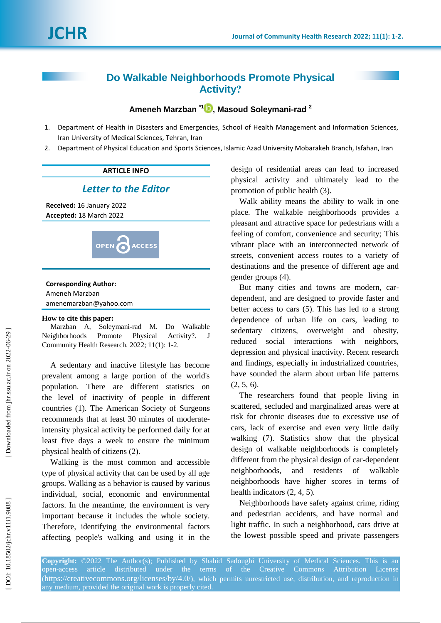# **Do Walkable Neighborhoods Promote Physical Activity ?**

### **Ameneh Marzban \* [1](https://orcid.org/0000-0002-8111-3319) , Masoud Soleymani -rad 2**

- 1 . Department of Health in Disasters and Emergencies, School of Health Management and Information Sciences, Iran University of Medical Sciences, Tehran, Iran
- $2.$ . Department of Physical Education and Sports Sciences, Islamic Azad University Mobarakeh Branch, Isfahan, Iran

#### **ARTICLE INFO**

## *Letter to the Editor*

**Received:** 16 January 202 2 **Accepted:** 18 March 202 2



#### **Corresponding Author:**

Ameneh Marzban amenemarzban@yahoo.com

#### **How to cite this paper:**

Marzban A, Soleymani -rad M. Do Walkable Neighborhoods Promote Physical ? . J Community Health Research. 2022; 11(1): 1-2.

A sedentary and inactive lifestyle has become prevalent among a large portion of the world's population. There are different statistics on the level of inactivity of people in different countries (1). The American Society of Surgeons recommends that at least 30 minutes of moderate intensity physical activity be performed daily for at least five days a week to ensure the minimum physical health of citizens (2) .

Walking is the most common and accessible type of physical activity that can be used by all age groups. Walking as a behavior is caused by various individual, social, economic and environmental factors. In the meantime, the environment is very important because it includes the whole society. Therefore, identifying the environmental factors affecting people's walking and using it in the design of residential areas can lead to increased physical activity and ultimately lead to the promotion of public health (3) .

Walk ability means the ability to walk in one place. The walkable neighborhoods provides a pleasant and attractive space for pedestrians with a feeling of comfort, convenience and security; This vibrant place with an interconnected network of streets, convenient access routes to a variety of destinations and the presence of different age and gender groups (4) .

But many cities and towns are modern, car dependent, and are designed to provide faster and better access to cars (5) . This has led to a strong dependence of urban life on cars, leading to sedentary citizens, overweight and obesity, reduced social interactions with neighbors, depression and physical inactivity. Recent research and findings, especially in industrialized countries, have sounded the alarm about urban life patterns  $(2, 5, 6)$ .

The researchers found that people living in scattered, secluded and marginalized areas were at risk for chronic diseases due to excessive use of cars, lack of exercise and even very little daily walking (7) . Statistics show that the physical design of walkable neighborhoods is completely different from the physical design of car -dependent neighborhoods, and residents of walkable neighborhoods have higher scores in terms of health indicators  $(2, 4, 5)$ .

Neighborhoods have safety against crime, riding and pedestrian accidents, and have normal and light traffic. In such a neighborhood, cars drive at the lowest possible speed and private passengers

**Copyright:** ©2022 The Author(s); Published by Shahid Sadoughi University of Medical Sciences. This is an open -access article distributed under the terms of the Creative Commons Attribution License (https://creativecommons.org/licenses/by/4.0/), which permits unrestricted use, distribution, and reproduction in any medium, provided the original work is properly cited.